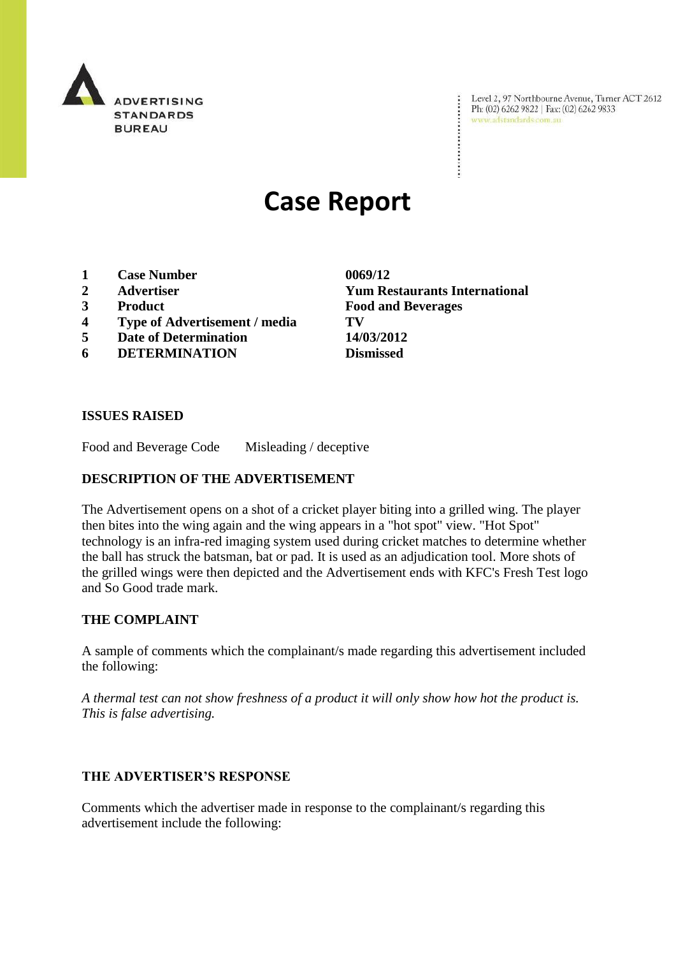

Level 2, 97 Northbourne Avenue, Turner ACT 2612<br>Ph: (02) 6262 9822 | Fax: (02) 6262 9833<br>www.adstandards.com.au

# **Case Report**

- **1 Case Number 0069/12**
- 
- 
- **4 Type of Advertisement / media TV**
- **5 Date of Determination 14/03/2012**
- **6 DETERMINATION Dismissed**

**2 Advertiser Yum Restaurants International 3 Product Food and Beverages**

÷

#### **ISSUES RAISED**

Food and Beverage Code Misleading / deceptive

## **DESCRIPTION OF THE ADVERTISEMENT**

The Advertisement opens on a shot of a cricket player biting into a grilled wing. The player then bites into the wing again and the wing appears in a "hot spot" view. "Hot Spot" technology is an infra-red imaging system used during cricket matches to determine whether the ball has struck the batsman, bat or pad. It is used as an adjudication tool. More shots of the grilled wings were then depicted and the Advertisement ends with KFC's Fresh Test logo and So Good trade mark.

## **THE COMPLAINT**

A sample of comments which the complainant/s made regarding this advertisement included the following:

*A thermal test can not show freshness of a product it will only show how hot the product is. This is false advertising.*

## **THE ADVERTISER'S RESPONSE**

Comments which the advertiser made in response to the complainant/s regarding this advertisement include the following: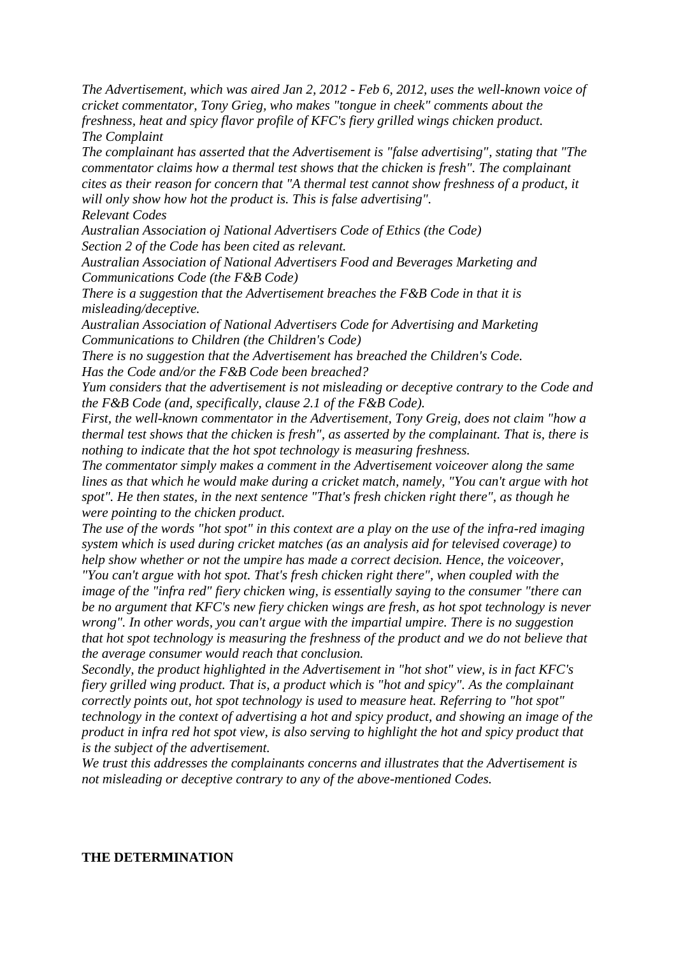*The Advertisement, which was aired Jan 2, 2012 - Feb 6, 2012, uses the well-known voice of cricket commentator, Tony Grieg, who makes "tongue in cheek" comments about the freshness, heat and spicy flavor profile of KFC's fiery grilled wings chicken product. The Complaint*

*The complainant has asserted that the Advertisement is "false advertising", stating that "The commentator claims how a thermal test shows that the chicken is fresh". The complainant cites as their reason for concern that "A thermal test cannot show freshness of a product, it will only show how hot the product is. This is false advertising".*

*Relevant Codes*

*Australian Association oj National Advertisers Code of Ethics (the Code) Section 2 of the Code has been cited as relevant.*

*Australian Association of National Advertisers Food and Beverages Marketing and Communications Code (the F&B Code)*

*There is a suggestion that the Advertisement breaches the F&B Code in that it is misleading/deceptive.*

*Australian Association of National Advertisers Code for Advertising and Marketing Communications to Children (the Children's Code)*

*There is no suggestion that the Advertisement has breached the Children's Code.*

*Has the Code and/or the F&B Code been breached?*

*Yum considers that the advertisement is not misleading or deceptive contrary to the Code and the F&B Code (and, specifically, clause 2.1 of the F&B Code).*

*First, the well-known commentator in the Advertisement, Tony Greig, does not claim "how a thermal test shows that the chicken is fresh", as asserted by the complainant. That is, there is nothing to indicate that the hot spot technology is measuring freshness.*

*The commentator simply makes a comment in the Advertisement voiceover along the same lines as that which he would make during a cricket match, namely, "You can't argue with hot spot". He then states, in the next sentence "That's fresh chicken right there", as though he were pointing to the chicken product.*

*The use of the words "hot spot" in this context are a play on the use of the infra-red imaging system which is used during cricket matches (as an analysis aid for televised coverage) to help show whether or not the umpire has made a correct decision. Hence, the voiceover,* 

*"You can't argue with hot spot. That's fresh chicken right there", when coupled with the image of the "infra red" fiery chicken wing, is essentially saying to the consumer "there can be no argument that KFC's new fiery chicken wings are fresh, as hot spot technology is never wrong". In other words, you can't argue with the impartial umpire. There is no suggestion that hot spot technology is measuring the freshness of the product and we do not believe that the average consumer would reach that conclusion.*

*Secondly, the product highlighted in the Advertisement in "hot shot" view, is in fact KFC's fiery grilled wing product. That is, a product which is "hot and spicy". As the complainant correctly points out, hot spot technology is used to measure heat. Referring to "hot spot" technology in the context of advertising a hot and spicy product, and showing an image of the product in infra red hot spot view, is also serving to highlight the hot and spicy product that is the subject of the advertisement.*

*We trust this addresses the complainants concerns and illustrates that the Advertisement is not misleading or deceptive contrary to any of the above-mentioned Codes.*

#### **THE DETERMINATION**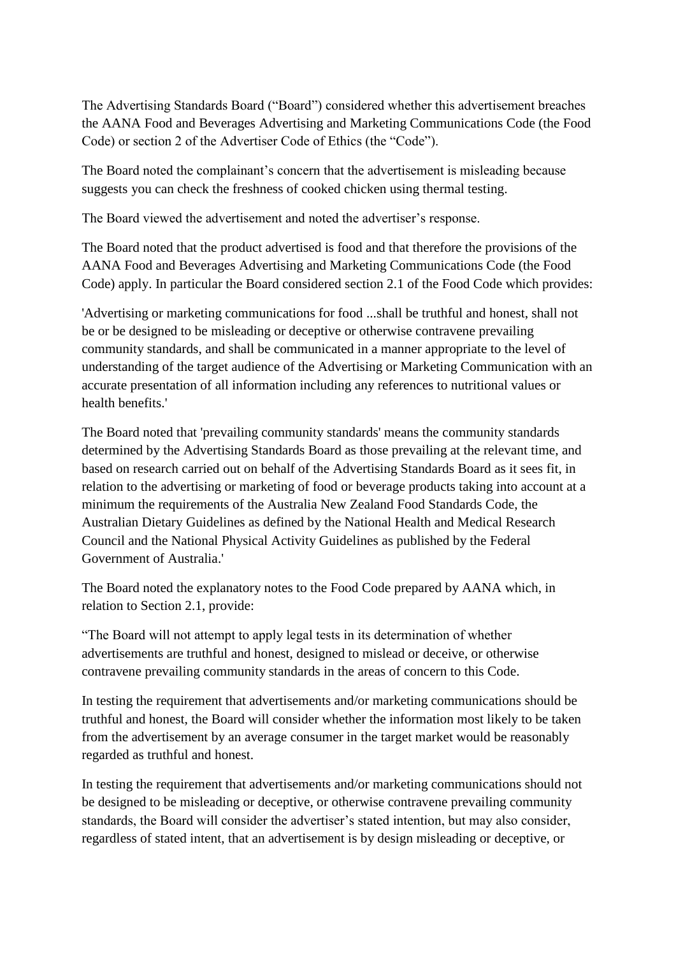The Advertising Standards Board ("Board") considered whether this advertisement breaches the AANA Food and Beverages Advertising and Marketing Communications Code (the Food Code) or section 2 of the Advertiser Code of Ethics (the "Code").

The Board noted the complainant's concern that the advertisement is misleading because suggests you can check the freshness of cooked chicken using thermal testing.

The Board viewed the advertisement and noted the advertiser's response.

The Board noted that the product advertised is food and that therefore the provisions of the AANA Food and Beverages Advertising and Marketing Communications Code (the Food Code) apply. In particular the Board considered section 2.1 of the Food Code which provides:

'Advertising or marketing communications for food ...shall be truthful and honest, shall not be or be designed to be misleading or deceptive or otherwise contravene prevailing community standards, and shall be communicated in a manner appropriate to the level of understanding of the target audience of the Advertising or Marketing Communication with an accurate presentation of all information including any references to nutritional values or health benefits.'

The Board noted that 'prevailing community standards' means the community standards determined by the Advertising Standards Board as those prevailing at the relevant time, and based on research carried out on behalf of the Advertising Standards Board as it sees fit, in relation to the advertising or marketing of food or beverage products taking into account at a minimum the requirements of the Australia New Zealand Food Standards Code, the Australian Dietary Guidelines as defined by the National Health and Medical Research Council and the National Physical Activity Guidelines as published by the Federal Government of Australia.'

The Board noted the explanatory notes to the Food Code prepared by AANA which, in relation to Section 2.1, provide:

"The Board will not attempt to apply legal tests in its determination of whether advertisements are truthful and honest, designed to mislead or deceive, or otherwise contravene prevailing community standards in the areas of concern to this Code.

In testing the requirement that advertisements and/or marketing communications should be truthful and honest, the Board will consider whether the information most likely to be taken from the advertisement by an average consumer in the target market would be reasonably regarded as truthful and honest.

In testing the requirement that advertisements and/or marketing communications should not be designed to be misleading or deceptive, or otherwise contravene prevailing community standards, the Board will consider the advertiser"s stated intention, but may also consider, regardless of stated intent, that an advertisement is by design misleading or deceptive, or